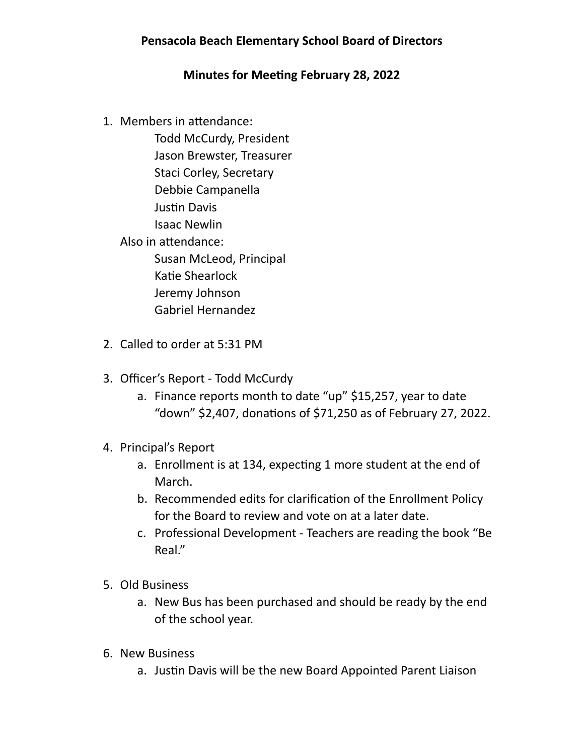## **Pensacola Beach Elementary School Board of Directors**

## **Minutes for Meeting February 28, 2022**

1. Members in attendance:

 Todd McCurdy, President Jason Brewster, Treasurer Staci Corley, Secretary Debbie Campanella Justin Davis Isaac Newlin Also in attendance: Susan McLeod, Principal Katie Shearlock Jeremy Johnson Gabriel Hernandez

- 2. Called to order at 5:31 PM
- 3. Officer's Report Todd McCurdy
	- a. Finance reports month to date "up" \$15,257, year to date "down" \$2,407, donations of \$71,250 as of February 27, 2022.
- 4. Principal's Report
	- a. Enrollment is at 134, expecting 1 more student at the end of March.
	- b. Recommended edits for clarification of the Enrollment Policy for the Board to review and vote on at a later date.
	- c. Professional Development Teachers are reading the book "Be Real."
- 5. Old Business
	- a. New Bus has been purchased and should be ready by the end of the school year.
- 6. New Business
	- a. Justin Davis will be the new Board Appointed Parent Liaison